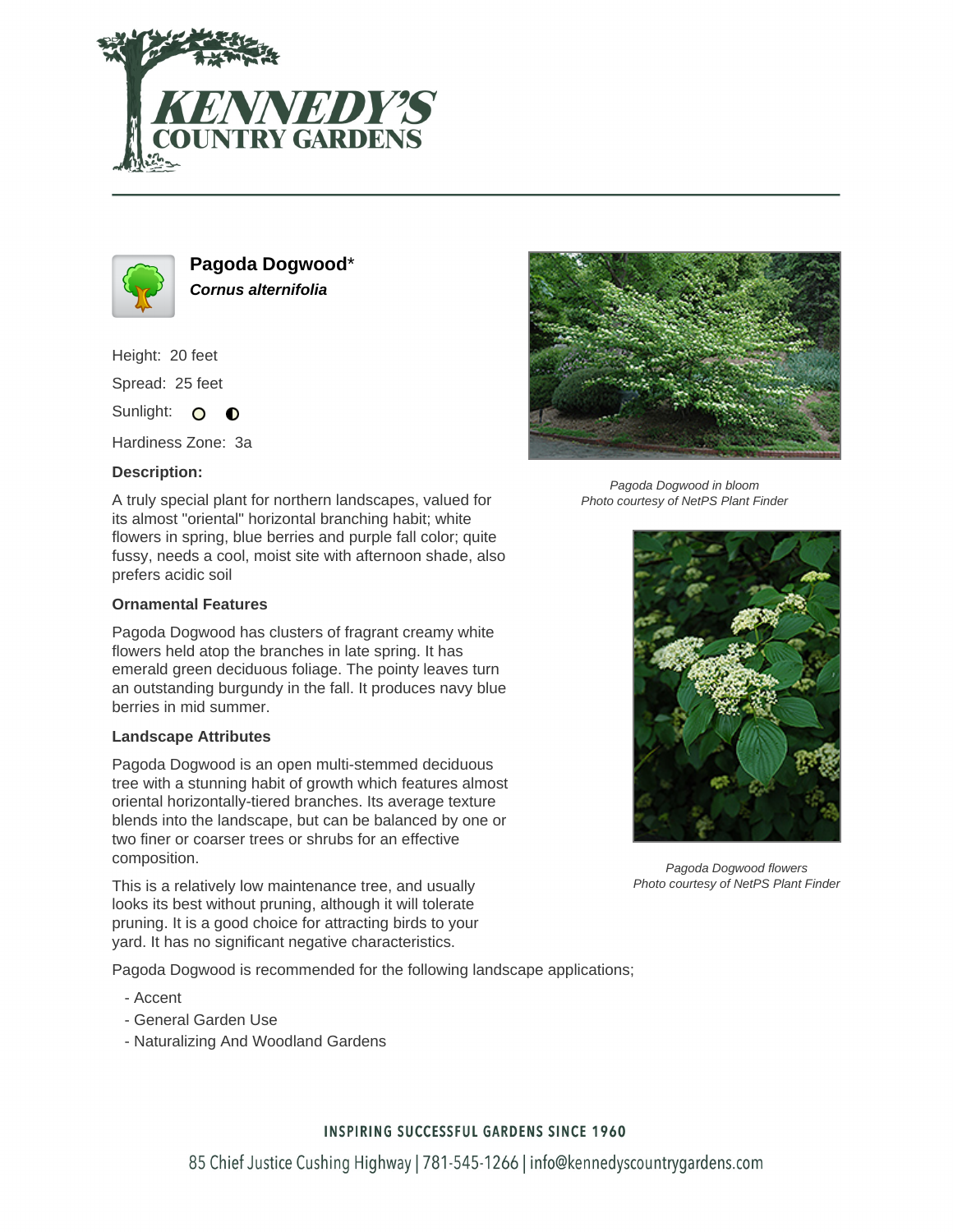



**Pagoda Dogwood**\* **Cornus alternifolia**

Height: 20 feet

Spread: 25 feet

Sunlight: O  $\bullet$ 

Hardiness Zone: 3a

## **Description:**

A truly special plant for northern landscapes, valued for its almost "oriental" horizontal branching habit; white flowers in spring, blue berries and purple fall color; quite fussy, needs a cool, moist site with afternoon shade, also prefers acidic soil

## **Ornamental Features**

Pagoda Dogwood has clusters of fragrant creamy white flowers held atop the branches in late spring. It has emerald green deciduous foliage. The pointy leaves turn an outstanding burgundy in the fall. It produces navy blue berries in mid summer.

### **Landscape Attributes**

Pagoda Dogwood is an open multi-stemmed deciduous tree with a stunning habit of growth which features almost oriental horizontally-tiered branches. Its average texture blends into the landscape, but can be balanced by one or two finer or coarser trees or shrubs for an effective composition.

This is a relatively low maintenance tree, and usually looks its best without pruning, although it will tolerate pruning. It is a good choice for attracting birds to your yard. It has no significant negative characteristics.

Pagoda Dogwood is recommended for the following landscape applications;

- Accent
- General Garden Use
- Naturalizing And Woodland Gardens



Pagoda Dogwood in bloom Photo courtesy of NetPS Plant Finder



Pagoda Dogwood flowers Photo courtesy of NetPS Plant Finder

## **INSPIRING SUCCESSFUL GARDENS SINCE 1960**